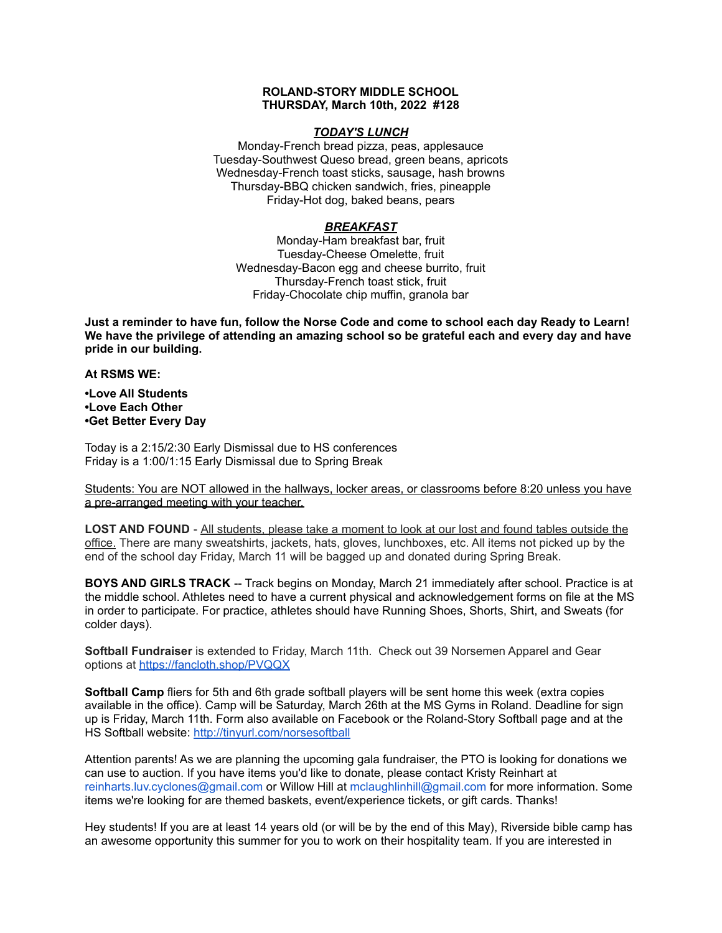## **ROLAND-STORY MIDDLE SCHOOL THURSDAY, March 10th, 2022 #128**

## *TODAY'S LUNCH*

Monday-French bread pizza, peas, applesauce Tuesday-Southwest Queso bread, green beans, apricots Wednesday-French toast sticks, sausage, hash browns Thursday-BBQ chicken sandwich, fries, pineapple Friday-Hot dog, baked beans, pears

## *BREAKFAST*

Monday-Ham breakfast bar, fruit Tuesday-Cheese Omelette, fruit Wednesday-Bacon egg and cheese burrito, fruit Thursday-French toast stick, fruit Friday-Chocolate chip muffin, granola bar

Just a reminder to have fun, follow the Norse Code and come to school each day Ready to Learn! **We have the privilege of attending an amazing school so be grateful each and every day and have pride in our building.**

#### **At RSMS WE:**

**•Love All Students •Love Each Other •Get Better Every Day**

Today is a 2:15/2:30 Early Dismissal due to HS conferences Friday is a 1:00/1:15 Early Dismissal due to Spring Break

Students: You are NOT allowed in the hallways, locker areas, or classrooms before 8:20 unless you have a pre-arranged meeting with your teacher.

**LOST AND FOUND** - All students, please take a moment to look at our lost and found tables outside the office. There are many sweatshirts, jackets, hats, gloves, lunchboxes, etc. All items not picked up by the end of the school day Friday, March 11 will be bagged up and donated during Spring Break.

**BOYS AND GIRLS TRACK** -- Track begins on Monday, March 21 immediately after school. Practice is at the middle school. Athletes need to have a current physical and acknowledgement forms on file at the MS in order to participate. For practice, athletes should have Running Shoes, Shorts, Shirt, and Sweats (for colder days).

**Softball Fundraiser** is extended to Friday, March 11th. Check out 39 Norsemen Apparel and Gear options at <https://fancloth.shop/PVQQX>

**Softball Camp** fliers for 5th and 6th grade softball players will be sent home this week (extra copies available in the office). Camp will be Saturday, March 26th at the MS Gyms in Roland. Deadline for sign up is Friday, March 11th. Form also available on Facebook or the Roland-Story Softball page and at the HS Softball website: <http://tinyurl.com/norsesoftball>

Attention parents! As we are planning the upcoming gala fundraiser, the PTO is looking for donations we can use to auction. If you have items you'd like to donate, please contact Kristy Reinhart at reinharts.luv.cyclones@gmail.com or Willow Hill at mclaughlinhill@gmail.com for more information. Some items we're looking for are themed baskets, event/experience tickets, or gift cards. Thanks!

Hey students! If you are at least 14 years old (or will be by the end of this May), Riverside bible camp has an awesome opportunity this summer for you to work on their hospitality team. If you are interested in